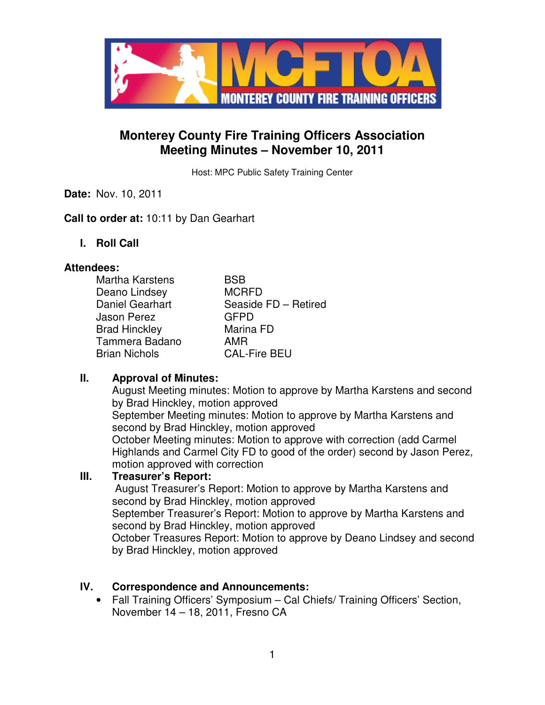

# **Monterey County Fire Training Officers Association Meeting Minutes – November 10, 2011**

Host: MPC Public Safety Training Center

**Date:** Nov. 10, 2011

### **Call to order at:** 10:11 by Dan Gearhart

**I. Roll Call** 

#### **Attendees:**

| <b>Martha Karstens</b> | BSB                  |
|------------------------|----------------------|
| Deano Lindsey          | <b>MCRFD</b>         |
| Daniel Gearhart        | Seaside FD - Retired |
| <b>Jason Perez</b>     | <b>GFPD</b>          |
| <b>Brad Hinckley</b>   | Marina FD            |
| Tammera Badano         | AMR                  |
| <b>Brian Nichols</b>   | <b>CAL-Fire BEU</b>  |

## **II. Approval of Minutes:**

August Meeting minutes: Motion to approve by Martha Karstens and second by Brad Hinckley, motion approved September Meeting minutes: Motion to approve by Martha Karstens and second by Brad Hinckley, motion approved October Meeting minutes: Motion to approve with correction (add Carmel Highlands and Carmel City FD to good of the order) second by Jason Perez, motion approved with correction

#### **III. Treasurer's Report:**

 August Treasurer's Report: Motion to approve by Martha Karstens and second by Brad Hinckley, motion approved

September Treasurer's Report: Motion to approve by Martha Karstens and second by Brad Hinckley, motion approved

October Treasures Report: Motion to approve by Deano Lindsey and second by Brad Hinckley, motion approved

## **IV. Correspondence and Announcements:**

• Fall Training Officers' Symposium – Cal Chiefs/ Training Officers' Section, November 14 – 18, 2011, Fresno CA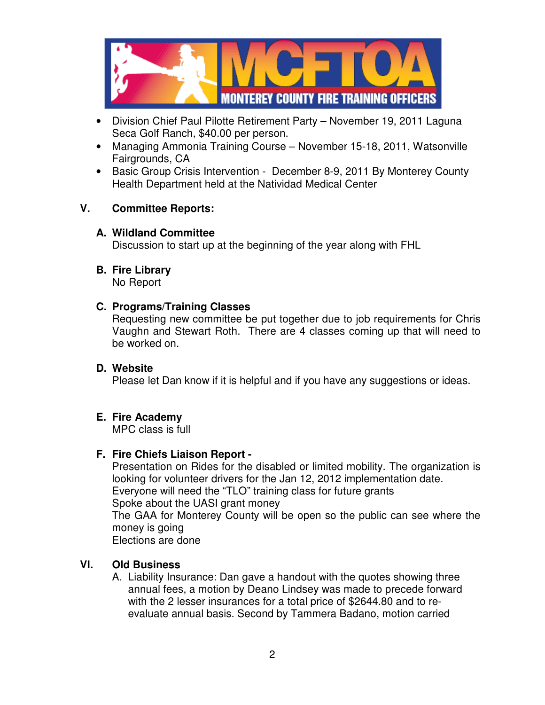

- Division Chief Paul Pilotte Retirement Party November 19, 2011 Laguna Seca Golf Ranch, \$40.00 per person.
- Managing Ammonia Training Course November 15-18, 2011, Watsonville Fairgrounds, CA
- Basic Group Crisis Intervention December 8-9, 2011 By Monterey County Health Department held at the Natividad Medical Center

### **V. Committee Reports:**

### **A. Wildland Committee**

Discussion to start up at the beginning of the year along with FHL

# **B. Fire Library**

No Report

### **C. Programs/Training Classes**

Requesting new committee be put together due to job requirements for Chris Vaughn and Stewart Roth. There are 4 classes coming up that will need to be worked on.

#### **D. Website**

Please let Dan know if it is helpful and if you have any suggestions or ideas.

## **E. Fire Academy**

MPC class is full

## **F. Fire Chiefs Liaison Report -**

Presentation on Rides for the disabled or limited mobility. The organization is looking for volunteer drivers for the Jan 12, 2012 implementation date. Everyone will need the "TLO" training class for future grants Spoke about the UASI grant money The GAA for Monterey County will be open so the public can see where the money is going

Elections are done

## **VI. Old Business**

A. Liability Insurance: Dan gave a handout with the quotes showing three annual fees, a motion by Deano Lindsey was made to precede forward with the 2 lesser insurances for a total price of \$2644.80 and to reevaluate annual basis. Second by Tammera Badano, motion carried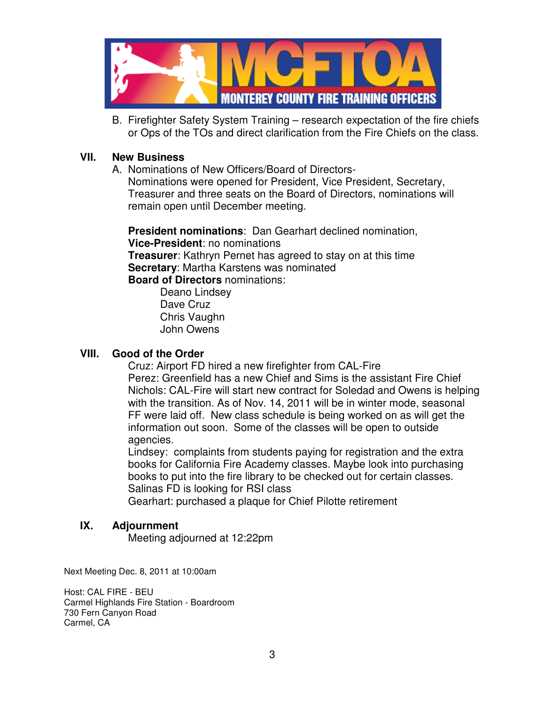

B. Firefighter Safety System Training – research expectation of the fire chiefs or Ops of the TOs and direct clarification from the Fire Chiefs on the class.

### **VII. New Business**

A. Nominations of New Officers/Board of Directors-Nominations were opened for President, Vice President, Secretary, Treasurer and three seats on the Board of Directors, nominations will remain open until December meeting.

**President nominations**: Dan Gearhart declined nomination, **Vice-President**: no nominations **Treasurer**: Kathryn Pernet has agreed to stay on at this time **Secretary**: Martha Karstens was nominated **Board of Directors** nominations:

> Deano Lindsey Dave Cruz Chris Vaughn John Owens

## **VIII. Good of the Order**

Cruz: Airport FD hired a new firefighter from CAL-Fire Perez: Greenfield has a new Chief and Sims is the assistant Fire Chief Nichols: CAL-Fire will start new contract for Soledad and Owens is helping with the transition. As of Nov. 14, 2011 will be in winter mode, seasonal FF were laid off. New class schedule is being worked on as will get the information out soon. Some of the classes will be open to outside agencies.

Lindsey: complaints from students paying for registration and the extra books for California Fire Academy classes. Maybe look into purchasing books to put into the fire library to be checked out for certain classes. Salinas FD is looking for RSI class

Gearhart: purchased a plaque for Chief Pilotte retirement

## **IX. Adjournment**

Meeting adjourned at 12:22pm

Next Meeting Dec. 8, 2011 at 10:00am

Host: CAL FIRE - BEU Carmel Highlands Fire Station - Boardroom 730 Fern Canyon Road Carmel, CA